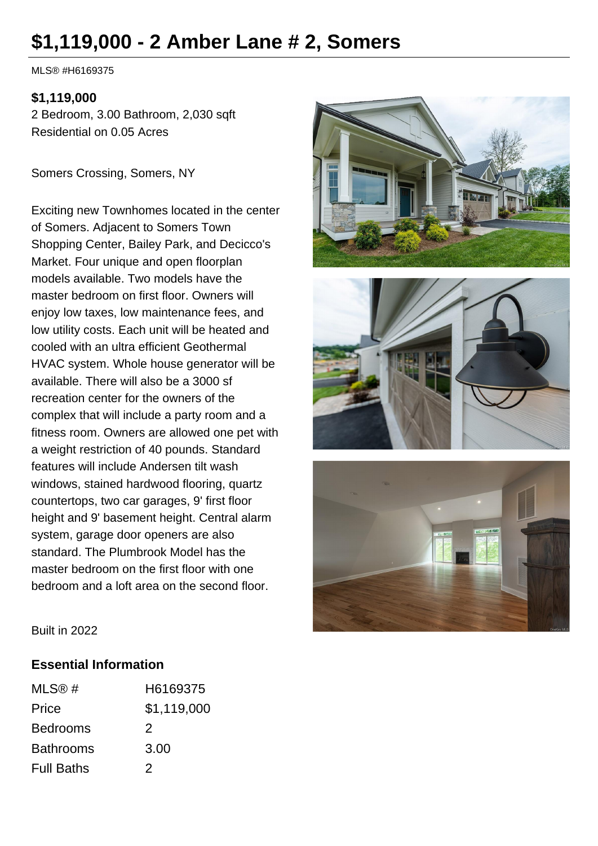# **\$1,119,000 - 2 Amber Lane # 2, Somers**

MLS® #H6169375

#### **\$1,119,000**

2 Bedroom, 3.00 Bathroom, 2,030 sqft Residential on 0.05 Acres

Somers Crossing, Somers, NY

Exciting new Townhomes located in the center of Somers. Adjacent to Somers Town Shopping Center, Bailey Park, and Decicco's Market. Four unique and open floorplan models available. Two models have the master bedroom on first floor. Owners will enjoy low taxes, low maintenance fees, and low utility costs. Each unit will be heated and cooled with an ultra efficient Geothermal HVAC system. Whole house generator will be available. There will also be a 3000 sf recreation center for the owners of the complex that will include a party room and a fitness room. Owners are allowed one pet with a weight restriction of 40 pounds. Standard features will include Andersen tilt wash windows, stained hardwood flooring, quartz countertops, two car garages, 9' first floor height and 9' basement height. Central alarm system, garage door openers are also standard. The Plumbrook Model has the master bedroom on the first floor with one bedroom and a loft area on the second floor.







Built in 2022

#### **Essential Information**

| MLS@#             | H6169375    |
|-------------------|-------------|
| Price             | \$1,119,000 |
| <b>Bedrooms</b>   | 2           |
| <b>Bathrooms</b>  | 3.00        |
| <b>Full Baths</b> | 2           |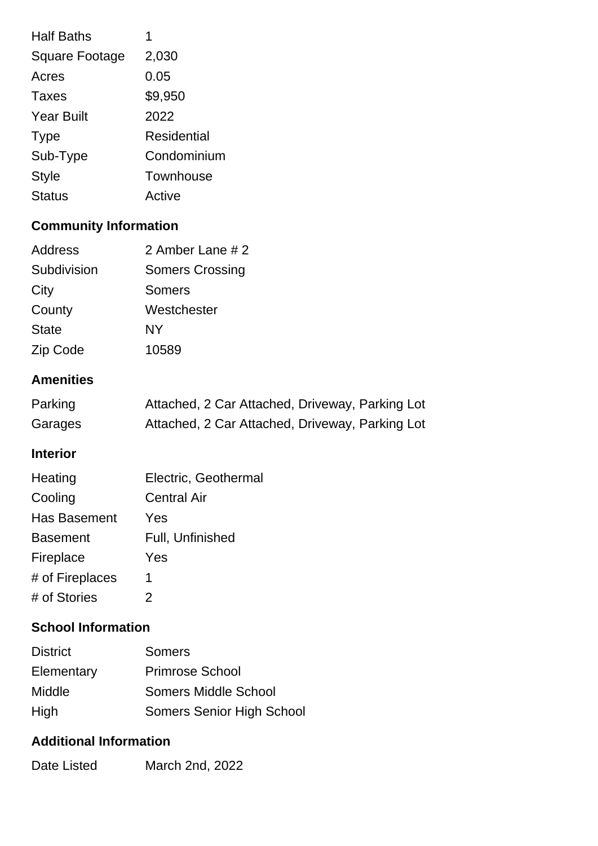| <b>Half Baths</b>     |             |
|-----------------------|-------------|
| <b>Square Footage</b> | 2,030       |
| Acres                 | 0.05        |
| <b>Taxes</b>          | \$9,950     |
| <b>Year Built</b>     | 2022        |
| <b>Type</b>           | Residential |
| Sub-Type              | Condominium |
| <b>Style</b>          | Townhouse   |
| <b>Status</b>         | Active      |

## **Community Information**

| <b>Address</b> | 2 Amber Lane # 2       |
|----------------|------------------------|
| Subdivision    | <b>Somers Crossing</b> |
| City           | Somers                 |
| County         | Westchester            |
| <b>State</b>   | NY                     |
| Zip Code       | 10589                  |

### **Amenities**

| Parking | Attached, 2 Car Attached, Driveway, Parking Lot |
|---------|-------------------------------------------------|
| Garages | Attached, 2 Car Attached, Driveway, Parking Lot |

#### **Interior**

| Electric, Geothermal |
|----------------------|
| <b>Central Air</b>   |
| Yes                  |
| Full, Unfinished     |
| Yes                  |
| 1                    |
| 2                    |
|                      |

## **School Information**

| <b>District</b> | <b>Somers</b>                    |
|-----------------|----------------------------------|
| Elementary      | <b>Primrose School</b>           |
| <b>Middle</b>   | Somers Middle School             |
| High            | <b>Somers Senior High School</b> |

#### **Additional Information**

| Date Listed | March 2nd, 2022 |
|-------------|-----------------|
|-------------|-----------------|